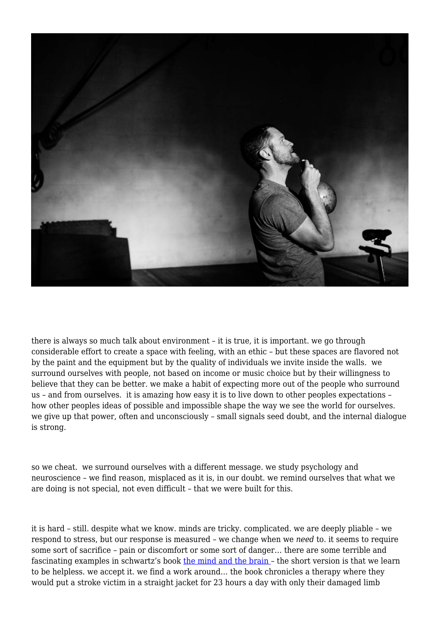

there is always so much talk about environment – it is true, it is important. we go through considerable effort to create a space with feeling, with an ethic – but these spaces are flavored not by the paint and the equipment but by the quality of individuals we invite inside the walls. we surround ourselves with people, not based on income or music choice but by their willingness to believe that they can be better. we make a habit of expecting more out of the people who surround us – and from ourselves. it is amazing how easy it is to live down to other peoples expectations – how other peoples ideas of possible and impossible shape the way we see the world for ourselves. we give up that power, often and unconsciously – small signals seed doubt, and the internal dialogue is strong.

so we cheat. we surround ourselves with a different message. we study psychology and neuroscience – we find reason, misplaced as it is, in our doubt. we remind ourselves that what we are doing is not special, not even difficult – that we were built for this.

it is hard – still. despite what we know. minds are tricky. complicated. we are deeply pliable – we respond to stress, but our response is measured – we change when we *need* to. it seems to require some sort of sacrifice – pain or discomfort or some sort of danger… there are some terrible and fascinating examples in schwartz's book the mind and the brain - the short version is that we learn to be helpless. we accept it. we find a work around… the book chronicles a therapy where they would put a stroke victim in a straight jacket for 23 hours a day with only their damaged limb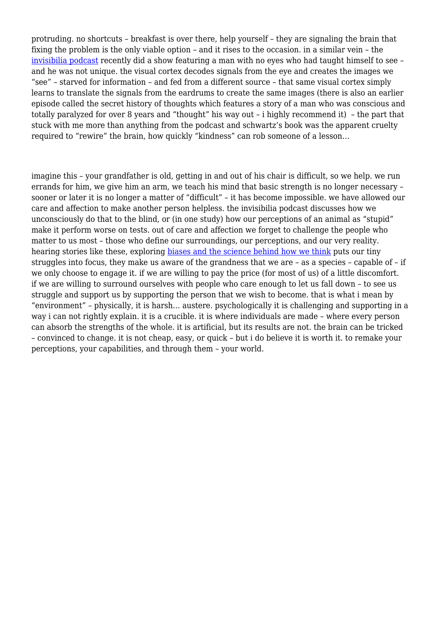protruding. no shortcuts – breakfast is over there, help yourself – they are signaling the brain that fixing the problem is the only viable option – and it rises to the occasion. in a similar vein – the [invisibilia podcast](http://www.npr.org/programs/invisibilia/) recently did a show featuring a man with no eyes who had taught himself to see – and he was not unique. the visual cortex decodes signals from the eye and creates the images we "see" – starved for information – and fed from a different source – that same visual cortex simply learns to translate the signals from the eardrums to create the same images (there is also an earlier episode called the secret history of thoughts which features a story of a man who was conscious and totally paralyzed for over 8 years and "thought" his way out – i highly recommend it) – the part that stuck with me more than anything from the podcast and schwartz's book was the apparent cruelty required to "rewire" the brain, how quickly "kindness" can rob someone of a lesson…

imagine this – your grandfather is old, getting in and out of his chair is difficult, so we help. we run errands for him, we give him an arm, we teach his mind that basic strength is no longer necessary – sooner or later it is no longer a matter of "difficult" – it has become impossible. we have allowed our care and affection to make another person helpless. the invisibilia podcast discusses how we unconsciously do that to the blind, or (in one study) how our perceptions of an animal as "stupid" make it perform worse on tests. out of care and affection we forget to challenge the people who matter to us most – those who define our surroundings, our perceptions, and our very reality. hearing stories like these, exploring [biases and the science behind how we think](http://davidmcraney.com/) puts our tiny struggles into focus, they make us aware of the grandness that we are – as a species – capable of – if we only choose to engage it. if we are willing to pay the price (for most of us) of a little discomfort. if we are willing to surround ourselves with people who care enough to let us fall down – to see us struggle and support us by supporting the person that we wish to become. that is what i mean by "environment" – physically, it is harsh… austere. psychologically it is challenging and supporting in a way i can not rightly explain. it is a crucible. it is where individuals are made – where every person can absorb the strengths of the whole. it is artificial, but its results are not. the brain can be tricked – convinced to change. it is not cheap, easy, or quick – but i do believe it is worth it. to remake your perceptions, your capabilities, and through them – your world.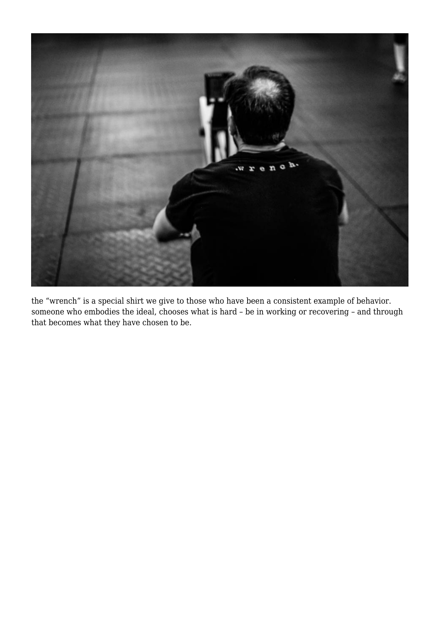

the "wrench" is a special shirt we give to those who have been a consistent example of behavior. someone who embodies the ideal, chooses what is hard – be in working or recovering – and through that becomes what they have chosen to be.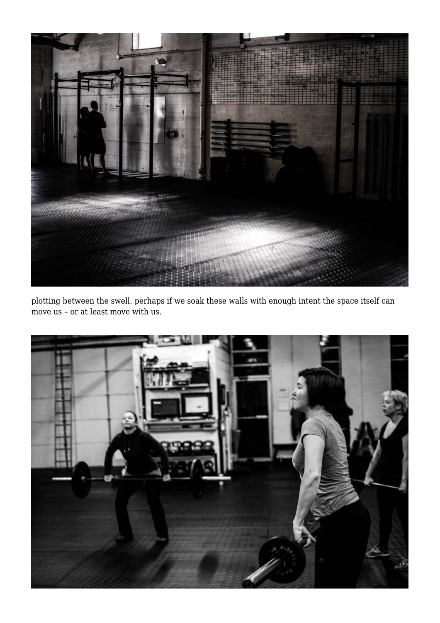

plotting between the swell. perhaps if we soak these walls with enough intent the space itself can move us – or at least move with us.

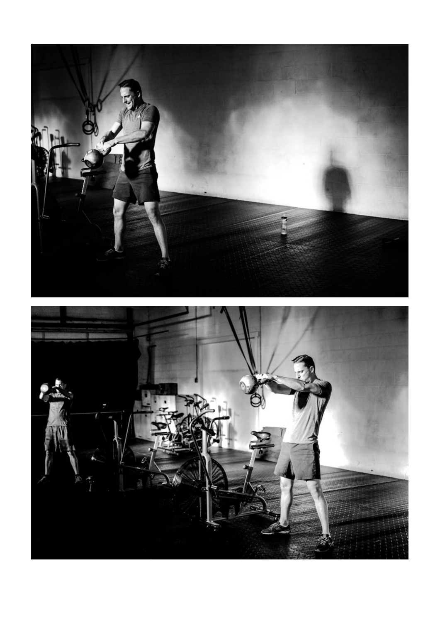